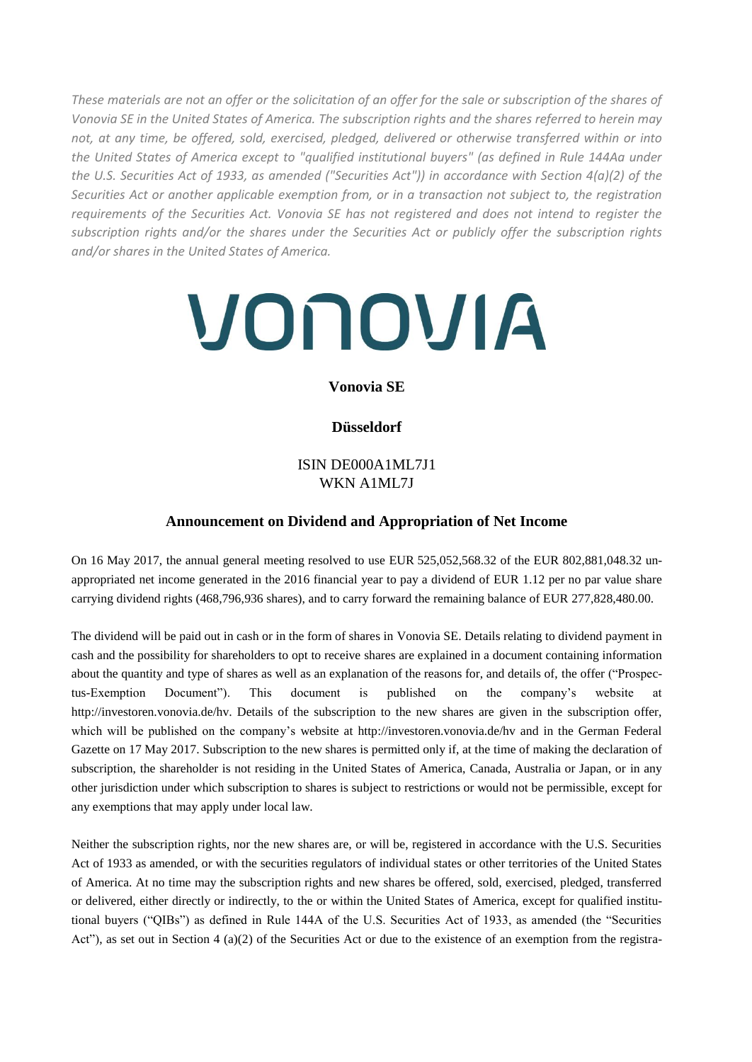*These materials are not an offer or the solicitation of an offer for the sale or subscription of the shares of Vonovia SE in the United States of America. The subscription rights and the shares referred to herein may not, at any time, be offered, sold, exercised, pledged, delivered or otherwise transferred within or into the United States of America except to "qualified institutional buyers" (as defined in Rule 144Aa under the U.S. Securities Act of 1933, as amended ("Securities Act")) in accordance with Section 4(a)(2) of the Securities Act or another applicable exemption from, or in a transaction not subject to, the registration requirements of the Securities Act. Vonovia SE has not registered and does not intend to register the subscription rights and/or the shares under the Securities Act or publicly offer the subscription rights and/or shares in the United States of America.*

# VONOVIA

## **Vonovia SE**

# **Düsseldorf**

# ISIN DE000A1ML7J1 WKN A1ML7J

### **Announcement on Dividend and Appropriation of Net Income**

On 16 May 2017, the annual general meeting resolved to use EUR 525,052,568.32 of the EUR 802,881,048.32 unappropriated net income generated in the 2016 financial year to pay a dividend of EUR 1.12 per no par value share carrying dividend rights (468,796,936 shares), and to carry forward the remaining balance of EUR 277,828,480.00.

The dividend will be paid out in cash or in the form of shares in Vonovia SE. Details relating to dividend payment in cash and the possibility for shareholders to opt to receive shares are explained in a document containing information about the quantity and type of shares as well as an explanation of the reasons for, and details of, the offer ("Prospectus-Exemption Document"). This document is published on the company's website at http://investoren.vonovia.de/hv. Details of the subscription to the new shares are given in the subscription offer, which will be published on the company's website at http://investoren.vonovia.de/hv and in the German Federal Gazette on 17 May 2017. Subscription to the new shares is permitted only if, at the time of making the declaration of subscription, the shareholder is not residing in the United States of America, Canada, Australia or Japan, or in any other jurisdiction under which subscription to shares is subject to restrictions or would not be permissible, except for any exemptions that may apply under local law.

Neither the subscription rights, nor the new shares are, or will be, registered in accordance with the U.S. Securities Act of 1933 as amended, or with the securities regulators of individual states or other territories of the United States of America. At no time may the subscription rights and new shares be offered, sold, exercised, pledged, transferred or delivered, either directly or indirectly, to the or within the United States of America, except for qualified institutional buyers ("QIBs") as defined in Rule 144A of the U.S. Securities Act of 1933, as amended (the "Securities Act"), as set out in Section 4 (a)(2) of the Securities Act or due to the existence of an exemption from the registra